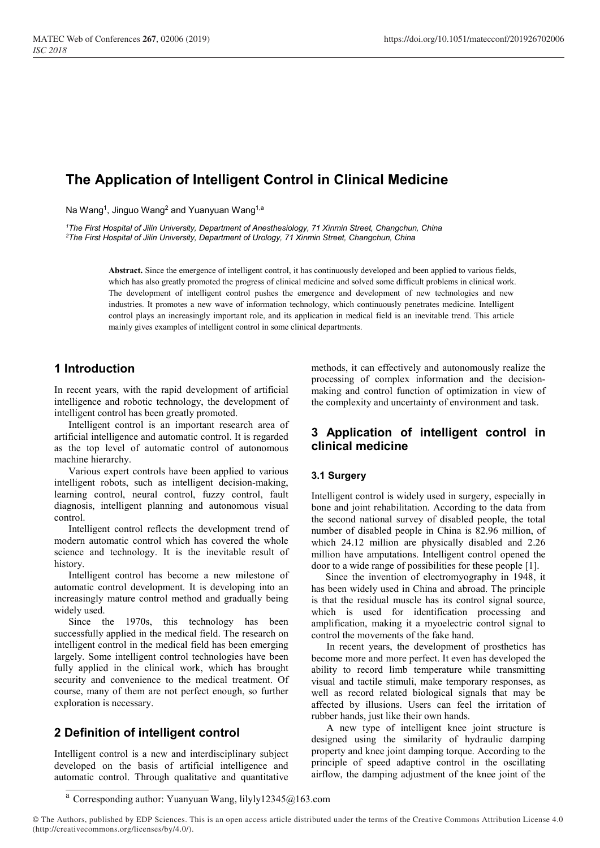# The Application of Intelligent Control in Clinical Medicine

Na Wang<sup>1</sup>, Jinguo Wang<sup>2</sup> and Yuanyuan Wang<sup>1,a</sup>

<sup>1</sup>The First Hospital of Jilin University, Department of Anesthesiology, 71 Xinmin Street, Changchun, China <sup>2</sup>The First Hospital of Jilin University, Department of Urology, 71 Xinmin Street, Changchun, China

> Abstract. Since the emergence of intelligent control, it has continuously developed and been applied to various fields, which has also greatly promoted the progress of clinical medicine and solved some difficult problems in clinical work. The development of intelligent control pushes the emergence and development of new technologies and new industries. It promotes a new wave of information technology, which continuously penetrates medicine. Intelligent control plays an increasingly important role, and its application in medical field is an inevitable trend. This article mainly gives examples of intelligent control in some clinical departments.

# 1 Introduction

In recent years, with the rapid development of artificial intelligence and robotic technology, the development of intelligent control has been greatly promoted.

Intelligent control is an important research area of artificial intelligence and automatic control. It is regarded as the top level of automatic control of autonomous machine hierarchy.

Various expert controls have been applied to various intelligent robots, such as intelligent decision-making, learning control, neural control, fuzzy control, fault diagnosis, intelligent planning and autonomous visual control.

Intelligent control reflects the development trend of modern automatic control which has covered the whole science and technology. It is the inevitable result of history.

Intelligent control has become a new milestone of automatic control development. It is developing into an increasingly mature control method and gradually being widely used.

Since the 1970s, this technology has been successfully applied in the medical field. The research on intelligent control in the medical field has been emerging largely. Some intelligent control technologies have been fully applied in the clinical work, which has brought security and convenience to the medical treatment. Of course, many of them are not perfect enough, so further exploration is necessary.

## 2 Definition of intelligent control

Intelligent control is a new and interdisciplinary subject developed on the basis of artificial intelligence and automatic control. Through qualitative and quantitative

methods, it can effectively and autonomously realize the processing of complex information and the decisionmaking and control function of optimization in view of the complexity and uncertainty of environment and task.

## 3 Application of intelligent control in clinical medicine

### 3.1 Surgery

Intelligent control is widely used in surgery, especially in bone and joint rehabilitation. According to the data from the second national survey of disabled people, the total number of disabled people in China is 82.96 million, of which 24.12 million are physically disabled and 2.26 million have amputations. Intelligent control opened the door to a wide range of possibilities for these people [1].

Since the invention of electromyography in 1948, it has been widely used in China and abroad. The principle is that the residual muscle has its control signal source, which is used for identification processing and amplification, making it a myoelectric control signal to control the movements of the fake hand.

In recent years, the development of prosthetics has become more and more perfect. It even has developed the ability to record limb temperature while transmitting visual and tactile stimuli, make temporary responses, as well as record related biological signals that may be affected by illusions. Users can feel the irritation of rubber hands, just like their own hands.

A new type of intelligent knee joint structure is designed using the similarity of hydraulic damping property and knee joint damping torque. According to the principle of speed adaptive control in the oscillating airflow, the damping adjustment of the knee joint of the

 $^{\rm a}$  Corresponding author: Yuanyuan Wang, lilyly12345@163.com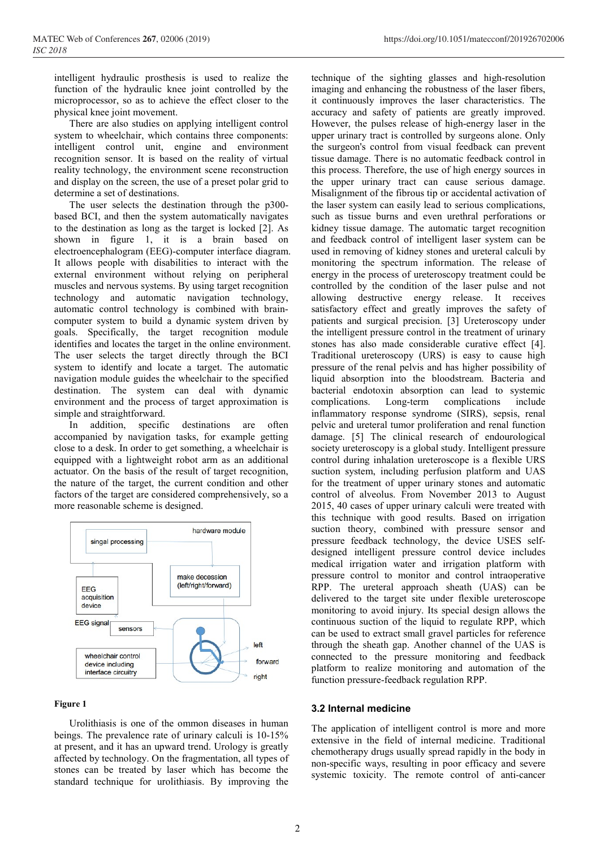intelligent hydraulic prosthesis is used to realize the function of the hydraulic knee joint controlled by the microprocessor, so as to achieve the effect closer to the physical knee joint movement.

There are also studies on applying intelligent control system to wheelchair, which contains three components: intelligent control unit, engine and environment recognition sensor. It is based on the reality of virtual reality technology, the environment scene reconstruction and display on the screen, the use of a preset polar grid to determine a set of destinations.

The user selects the destination through the p300 based BCI, and then the system automatically navigates to the destination as long as the target is locked [2]. As shown in figure 1, it is a brain based on electroencephalogram (EEG)-computer interface diagram. It allows people with disabilities to interact with the external environment without relying on peripheral muscles and nervous systems. By using target recognition technology and automatic navigation technology, automatic control technology is combined with braincomputer system to build a dynamic system driven by goals. Specifically, the target recognition module identifies and locates the target in the online environment. The user selects the target directly through the BCI system to identify and locate a target. The automatic navigation module guides the wheelchair to the specified destination. The system can deal with dynamic environment and the process of target approximation is simple and straightforward.

In addition, specific destinations are often accompanied by navigation tasks, for example getting close to a desk. In order to get something, a wheelchair is equipped with a lightweight robot arm as an additional actuator. On the basis of the result of target recognition, the nature of the target, the current condition and other factors of the target are considered comprehensively, so a more reasonable scheme is designed.



#### Figure 1

Urolithiasis is one of the ommon diseases in human beings. The prevalence rate of urinary calculi is 10-15% at present, and it has an upward trend. Urology is greatly affected by technology. On the fragmentation, all types of stones can be treated by laser which has become the standard technique for urolithiasis. By improving the

technique of the sighting glasses and high-resolution imaging and enhancing the robustness of the laser fibers, it continuously improves the laser characteristics. The accuracy and safety of patients are greatly improved. However, the pulses release of high-energy laser in the upper urinary tract is controlled by surgeons alone. Only the surgeon's control from visual feedback can prevent tissue damage. There is no automatic feedback control in this process. Therefore, the use of high energy sources in the upper urinary tract can cause serious damage. Misalignment of the fibrous tip or accidental activation of the laser system can easily lead to serious complications, such as tissue burns and even urethral perforations or kidney tissue damage. The automatic target recognition and feedback control of intelligent laser system can be used in removing of kidney stones and ureteral calculi by monitoring the spectrum information. The release of energy in the process of ureteroscopy treatment could be controlled by the condition of the laser pulse and not allowing destructive energy release. It receives satisfactory effect and greatly improves the safety of patients and surgical precision. [3] Ureteroscopy under the intelligent pressure control in the treatment of urinary stones has also made considerable curative effect [4]. Traditional ureteroscopy (URS) is easy to cause high pressure of the renal pelvis and has higher possibility of liquid absorption into the bloodstream. Bacteria and bacterial endotoxin absorption can lead to systemic complications. Long-term complications include inflammatory response syndrome (SIRS), sepsis, renal pelvic and ureteral tumor proliferation and renal function damage. [5] The clinical research of endourological society ureteroscopy is a global study. Intelligent pressure control during inhalation ureteroscope is a flexible URS suction system, including perfusion platform and UAS for the treatment of upper urinary stones and automatic control of alveolus. From November 2013 to August 2015, 40 cases of upper urinary calculi were treated with this technique with good results. Based on irrigation suction theory, combined with pressure sensor and pressure feedback technology, the device USES selfdesigned intelligent pressure control device includes medical irrigation water and irrigation platform with pressure control to monitor and control intraoperative RPP. The ureteral approach sheath (UAS) can be delivered to the target site under flexible ureteroscope monitoring to avoid injury. Its special design allows the continuous suction of the liquid to regulate RPP, which can be used to extract small gravel particles for reference through the sheath gap. Another channel of the UAS is connected to the pressure monitoring and feedback platform to realize monitoring and automation of the function pressure-feedback regulation RPP.

#### 3.2 Internal medicine

The application of intelligent control is more and more extensive in the field of internal medicine. Traditional chemotherapy drugs usually spread rapidly in the body in non-specific ways, resulting in poor efficacy and severe systemic toxicity. The remote control of anti-cancer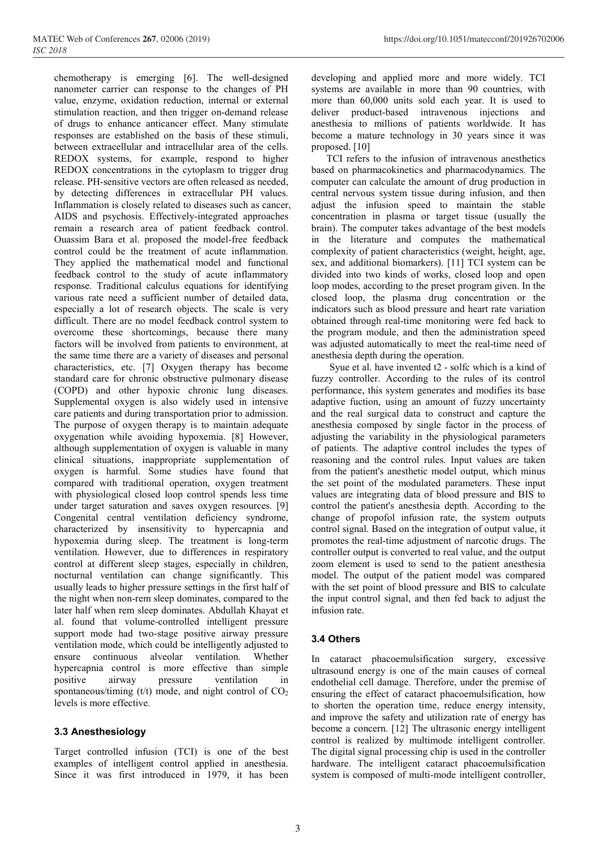chemotherapy is emerging [6]. The well-designed nanometer carrier can response to the changes of PH value, enzyme, oxidation reduction, internal or external stimulation reaction, and then trigger on-demand release of drugs to enhance anticancer effect. Many stimulate responses are established on the basis of these stimuli, between extracellular and intracellular area of the cells. REDOX systems, for example, respond to higher REDOX concentrations in the cytoplasm to trigger drug release. PH-sensitive vectors are often released as needed, by detecting differences in extracellular PH values. Inflammation is closely related to diseases such as cancer, AIDS and psychosis. Effectively-integrated approaches remain a research area of patient feedback control. Ouassim Bara et al. proposed the model-free feedback control could be the treatment of acute inflammation. They applied the mathematical model and functional feedback control to the study of acute inflammatory response. Traditional calculus equations for identifying various rate need a sufficient number of detailed data, especially a lot of research objects. The scale is very difficult. There are no model feedback control system to overcome these shortcomings, because there many factors will be involved from patients to environment, at the same time there are a variety of diseases and personal characteristics, etc. [7] Oxygen therapy has become standard care for chronic obstructive pulmonary disease (COPD) and other hypoxic chronic lung diseases. Supplemental oxygen is also widely used in intensive care patients and during transportation prior to admission. The purpose of oxygen therapy is to maintain adequate oxygenation while avoiding hypoxemia. [8] However, although supplementation of oxygen is valuable in many clinical situations, inappropriate supplementation of oxygen is harmful. Some studies have found that compared with traditional operation, oxygen treatment with physiological closed loop control spends less time under target saturation and saves oxygen resources. [9] Congenital central ventilation deficiency syndrome, characterized by insensitivity to hypercapnia and hypoxemia during sleep. The treatment is long-term ventilation. However, due to differences in respiratory control at different sleep stages, especially in children, nocturnal ventilation can change significantly. This usually leads to higher pressure settings in the first half of the night when non-rem sleep dominates, compared to the later half when rem sleep dominates. Abdullah Khayat et al. found that volume-controlled intelligent pressure support mode had two-stage positive airway pressure ventilation mode, which could be intelligently adjusted to ensure continuous alveolar ventilation. Whether hypercapnia control is more effective than simple positive airway pressure ventilation in spontaneous/timing (t/t) mode, and night control of  $CO<sub>2</sub>$ levels is more effective.

### 3.3 Anesthesiology

Target controlled infusion (TCI) is one of the best examples of intelligent control applied in anesthesia. Since it was first introduced in 1979, it has been developing and applied more and more widely. TCI systems are available in more than 90 countries, with more than 60,000 units sold each year. It is used to deliver product-based intravenous injections and anesthesia to millions of patients worldwide. It has become a mature technology in 30 years since it was proposed. [10]

TCI refers to the infusion of intravenous anesthetics based on pharmacokinetics and pharmacodynamics. The computer can calculate the amount of drug production in central nervous system tissue during infusion, and then adjust the infusion speed to maintain the stable concentration in plasma or target tissue (usually the brain). The computer takes advantage of the best models in the literature and computes the mathematical complexity of patient characteristics (weight, height, age, sex, and additional biomarkers). [11] TCI system can be divided into two kinds of works, closed loop and open loop modes, according to the preset program given. In the closed loop, the plasma drug concentration or the indicators such as blood pressure and heart rate variation obtained through real-time monitoring were fed back to the program module, and then the administration speed was adjusted automatically to meet the real-time need of anesthesia depth during the operation.

 Syue et al. have invented t2 - solfc which is a kind of fuzzy controller. According to the rules of its control performance, this system generates and modifies its base adaptive fuction, using an amount of fuzzy uncertainty and the real surgical data to construct and capture the anesthesia composed by single factor in the process of adjusting the variability in the physiological parameters of patients. The adaptive control includes the types of reasoning and the control rules. Input values are taken from the patient's anesthetic model output, which minus the set point of the modulated parameters. These input values are integrating data of blood pressure and BIS to control the patient's anesthesia depth. According to the change of propofol infusion rate, the system outputs control signal. Based on the integration of output value, it promotes the real-time adjustment of narcotic drugs. The controller output is converted to real value, and the output zoom element is used to send to the patient anesthesia model. The output of the patient model was compared with the set point of blood pressure and BIS to calculate the input control signal, and then fed back to adjust the infusion rate.

### 3.4 Others

In cataract phacoemulsification surgery, excessive ultrasound energy is one of the main causes of corneal endothelial cell damage. Therefore, under the premise of ensuring the effect of cataract phacoemulsification, how to shorten the operation time, reduce energy intensity, and improve the safety and utilization rate of energy has become a concern. [12] The ultrasonic energy intelligent control is realized by multimode intelligent controller. The digital signal processing chip is used in the controller hardware. The intelligent cataract phacoemulsification system is composed of multi-mode intelligent controller,